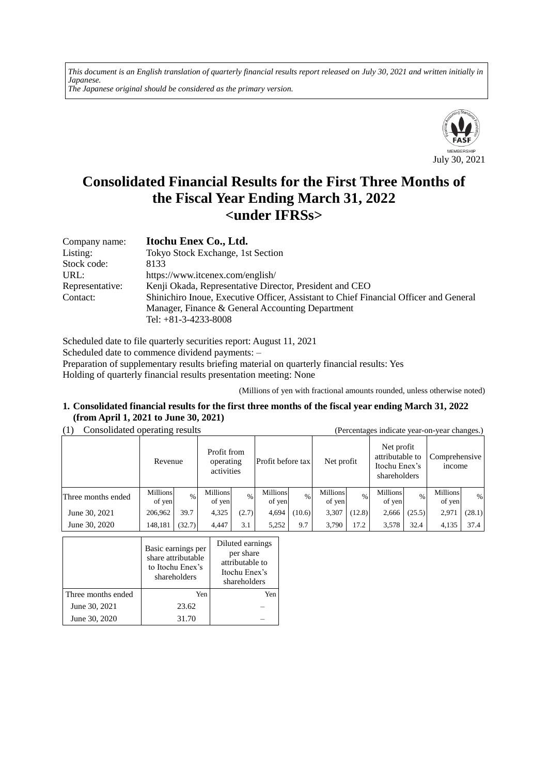*This document is an English translation of quarterly financial results report released on July 30, 2021 and written initially in Japanese. The Japanese original should be considered as the primary version.*



# **Consolidated Financial Results for the First Three Months of the Fiscal Year Ending March 31, 2022 <under IFRSs>**

| Company name:   | Itochu Enex Co., Ltd.                                                                 |
|-----------------|---------------------------------------------------------------------------------------|
| Listing:        | Tokyo Stock Exchange, 1st Section                                                     |
| Stock code:     | 8133                                                                                  |
| URL:            | https://www.itcenex.com/english/                                                      |
| Representative: | Kenji Okada, Representative Director, President and CEO                               |
| Contact:        | Shinichiro Inoue, Executive Officer, Assistant to Chief Financial Officer and General |
|                 | Manager, Finance & General Accounting Department                                      |
|                 | Tel: $+81-3-4233-8008$                                                                |

Scheduled date to file quarterly securities report: August 11, 2021 Scheduled date to commence dividend payments: – Preparation of supplementary results briefing material on quarterly financial results: Yes Holding of quarterly financial results presentation meeting: None

(Millions of yen with fractional amounts rounded, unless otherwise noted)

#### **1. Consolidated financial results for the first three months of the fiscal year ending March 31, 2022 (from April 1, 2021 to June 30, 2021)**

(1) Consolidated operating results (Percentages indicate year-on-year changes.)

| $\sim$             |                           | ັ      |                                                             |       |                           |               |                                                                |        |                                |               |                    | ັ      |
|--------------------|---------------------------|--------|-------------------------------------------------------------|-------|---------------------------|---------------|----------------------------------------------------------------|--------|--------------------------------|---------------|--------------------|--------|
|                    | Revenue                   |        | Profit from<br>Profit before tax<br>operating<br>activities |       | Net profit                |               | Net profit<br>attributable to<br>Itochu Enex's<br>shareholders |        | Comprehensive<br><i>n</i> come |               |                    |        |
| Three months ended | <b>Millions</b><br>of yen | $\%$   | <b>Millions</b><br>of yen                                   | $\%$  | <b>Millions</b><br>of yen | $\frac{0}{0}$ | <b>Millions</b><br>of yen                                      | $\%$   | <b>Millions</b><br>of yen      | $\frac{0}{0}$ | Millions<br>of yen | $\%$   |
| June 30, 2021      | 206,962                   | 39.7   | 4,325                                                       | (2.7) | 4.694                     | (10.6)        | 3,307                                                          | (12.8) | 2,666                          | (25.5)        | 2,971              | (28.1) |
| June 30, 2020      | 148,181                   | (32.7) | 4.447                                                       | 3.1   | 5,252                     | 9.7           | 3.790                                                          | 17.2   | 3,578                          | 32.4          | 4,135              | 37.4   |

|                    | Basic earnings per<br>share attributable<br>to Itochu Enex's<br>shareholders | Diluted earnings<br>per share<br>attributable to<br>Itochu Enex's<br>shareholders |
|--------------------|------------------------------------------------------------------------------|-----------------------------------------------------------------------------------|
| Three months ended | Yen                                                                          | Yen                                                                               |
| June 30, 2021      | 23.62                                                                        |                                                                                   |
| June 30, 2020      | 31.70                                                                        |                                                                                   |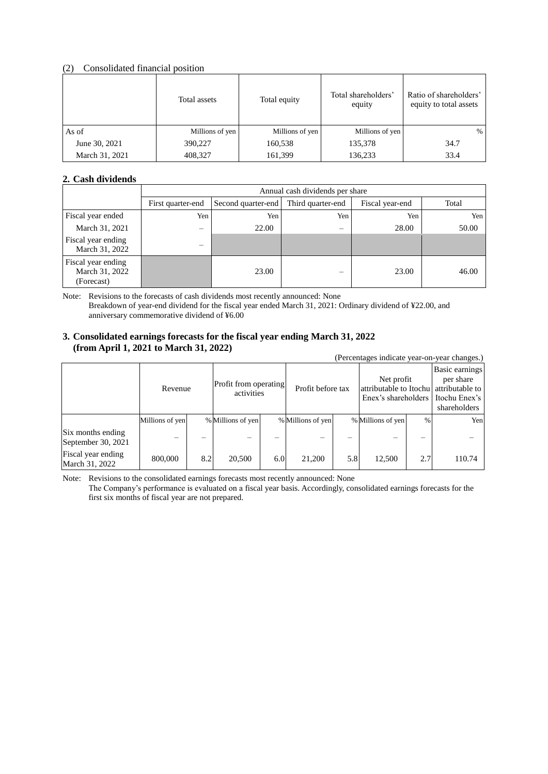### (2) Consolidated financial position

|                | Total assets    | Total equity    | Total shareholders'<br>equity | Ratio of shareholders'<br>equity to total assets |
|----------------|-----------------|-----------------|-------------------------------|--------------------------------------------------|
| As of          | Millions of yen | Millions of yen | Millions of yen               | $\frac{0}{0}$                                    |
| June 30, 2021  | 390,227         | 160,538         | 135,378                       | 34.7                                             |
| March 31, 2021 | 408,327         | 161,399         | 136,233                       | 33.4                                             |

### **2. Cash dividends**

|                                                    |                                | Annual cash dividends per share |                   |                 |       |  |  |  |
|----------------------------------------------------|--------------------------------|---------------------------------|-------------------|-----------------|-------|--|--|--|
|                                                    | First quarter-end              | Second quarter-end              | Third quarter-end | Fiscal year-end | Total |  |  |  |
| Fiscal year ended                                  | Yen                            | Yen                             | Yen               | Yen             | Yen   |  |  |  |
| March 31, 2021                                     | $\qquad \qquad \longleftarrow$ | 22.00                           | -                 | 28.00           | 50.00 |  |  |  |
| Fiscal year ending<br>March 31, 2022               | -                              |                                 |                   |                 |       |  |  |  |
| Fiscal year ending<br>March 31, 2022<br>(Forecast) |                                | 23.00                           | -                 | 23.00           | 46.00 |  |  |  |

Note: Revisions to the forecasts of cash dividends most recently announced: None Breakdown of year-end dividend for the fiscal year ended March 31, 2021: Ordinary dividend of ¥22.00, and anniversary commemorative dividend of ¥6.00

#### **3. Consolidated earnings forecasts for the fiscal year ending March 31, 2022 (from April 1, 2021 to March 31, 2022)**

(Percentages indicate year-on-year changes.)

|                                         |                 | Revenue |                   | Profit from operating<br>activities |                   | Profit before tax |                   | Net profit<br>attributable to Itochu attributable to<br>Enex's shareholders |        |
|-----------------------------------------|-----------------|---------|-------------------|-------------------------------------|-------------------|-------------------|-------------------|-----------------------------------------------------------------------------|--------|
|                                         | Millions of yen |         | % Millions of yen |                                     | % Millions of yen |                   | % Millions of yen | $\%$                                                                        | Yen    |
| Six months ending<br>September 30, 2021 |                 |         |                   |                                     |                   |                   |                   |                                                                             |        |
| Fiscal year ending<br>March 31, 2022    | 800,000         | 8.2     | 20,500            | 6.0                                 | 21,200            | 5.8               | 12,500            | 2.7                                                                         | 110.74 |

Note: Revisions to the consolidated earnings forecasts most recently announced: None

The Company's performance is evaluated on a fiscal year basis. Accordingly, consolidated earnings forecasts for the first six months of fiscal year are not prepared.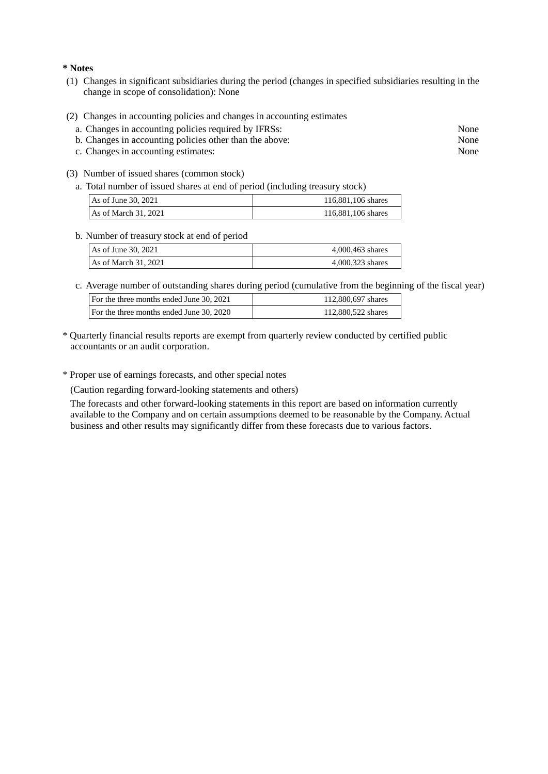**\* Notes**

- (1) Changes in significant subsidiaries during the period (changes in specified subsidiaries resulting in the change in scope of consolidation): None
- (2) Changes in accounting policies and changes in accounting estimates
	- a. Changes in accounting policies required by IFRSs: None
	- b. Changes in accounting policies other than the above: None
	- c. Changes in accounting estimates: None
- (3) Number of issued shares (common stock)
	- a. Total number of issued shares at end of period (including treasury stock)

| As of June 30, 2021  | 116,881,106 shares |
|----------------------|--------------------|
| As of March 31, 2021 | 116,881,106 shares |

#### b. Number of treasury stock at end of period

| As of June 30, 2021  | 4,000,463 shares |
|----------------------|------------------|
| As of March 31, 2021 | 4,000,323 shares |

c. Average number of outstanding shares during period (cumulative from the beginning of the fiscal year)

| For the three months ended June 30, 2021 | 112,880,697 shares |  |  |
|------------------------------------------|--------------------|--|--|
| For the three months ended June 30, 2020 | 112,880,522 shares |  |  |

- \* Quarterly financial results reports are exempt from quarterly review conducted by certified public accountants or an audit corporation.
- \* Proper use of earnings forecasts, and other special notes

(Caution regarding forward-looking statements and others)

The forecasts and other forward-looking statements in this report are based on information currently available to the Company and on certain assumptions deemed to be reasonable by the Company. Actual business and other results may significantly differ from these forecasts due to various factors.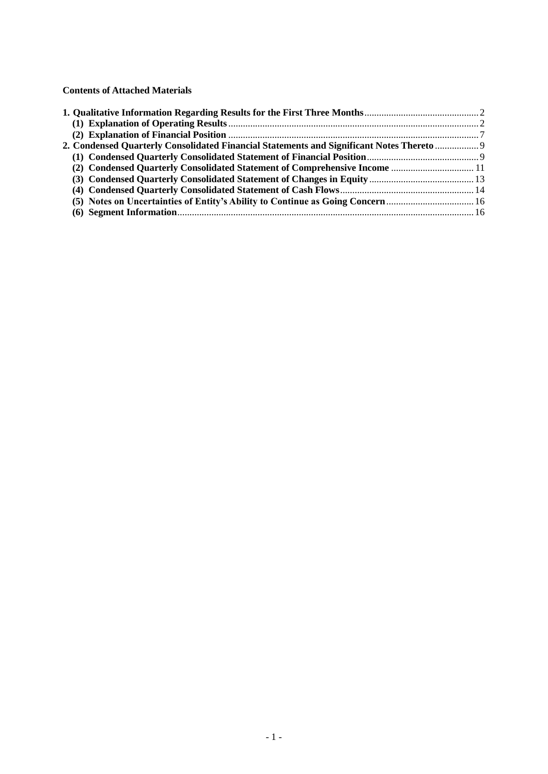**Contents of Attached Materials**

| 2. Condensed Quarterly Consolidated Financial Statements and Significant Notes Thereto  9 |  |
|-------------------------------------------------------------------------------------------|--|
|                                                                                           |  |
|                                                                                           |  |
|                                                                                           |  |
|                                                                                           |  |
|                                                                                           |  |
|                                                                                           |  |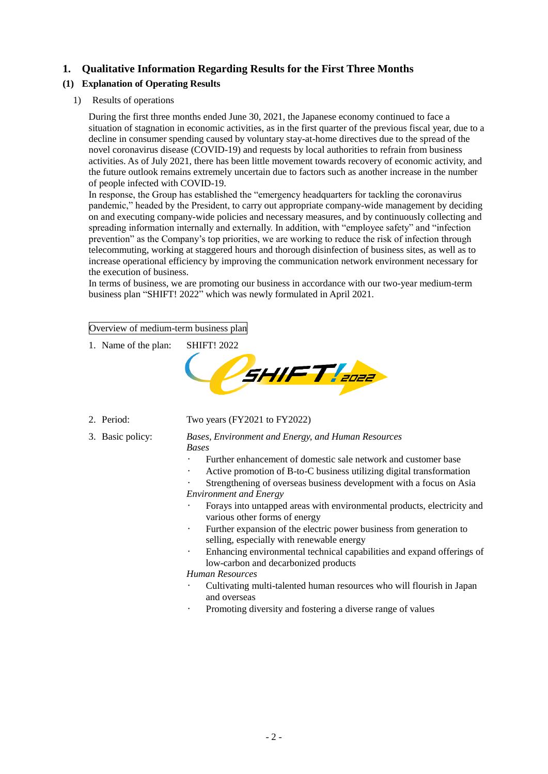# <span id="page-4-0"></span>**1. Qualitative Information Regarding Results for the First Three Months**

# <span id="page-4-1"></span>**(1) Explanation of Operating Results**

1) Results of operations

During the first three months ended June 30, 2021, the Japanese economy continued to face a situation of stagnation in economic activities, as in the first quarter of the previous fiscal year, due to a decline in consumer spending caused by voluntary stay-at-home directives due to the spread of the novel coronavirus disease (COVID-19) and requests by local authorities to refrain from business activities. As of July 2021, there has been little movement towards recovery of economic activity, and the future outlook remains extremely uncertain due to factors such as another increase in the number of people infected with COVID-19.

In response, the Group has established the "emergency headquarters for tackling the coronavirus pandemic," headed by the President, to carry out appropriate company-wide management by deciding on and executing company-wide policies and necessary measures, and by continuously collecting and spreading information internally and externally. In addition, with "employee safety" and "infection prevention" as the Company's top priorities, we are working to reduce the risk of infection through telecommuting, working at staggered hours and thorough disinfection of business sites, as well as to increase operational efficiency by improving the communication network environment necessary for the execution of business.

In terms of business, we are promoting our business in accordance with our two-year medium-term business plan "SHIFT! 2022" which was newly formulated in April 2021.

# Overview of medium-term business plan

1. Name of the plan: SHIFT! 2022



- 2. Period: Two years (FY2021 to FY2022)
- 

3. Basic policy: *Bases, Environment and Energy, and Human Resources Bases*

- Further enhancement of domestic sale network and customer base
- Active promotion of B-to-C business utilizing digital transformation

Strengthening of overseas business development with a focus on Asia *Environment and Energy*

- Forays into untapped areas with environmental products, electricity and various other forms of energy
- Further expansion of the electric power business from generation to selling, especially with renewable energy
- Enhancing environmental technical capabilities and expand offerings of low-carbon and decarbonized products

*Human Resources*

- Cultivating multi-talented human resources who will flourish in Japan and overseas
- Promoting diversity and fostering a diverse range of values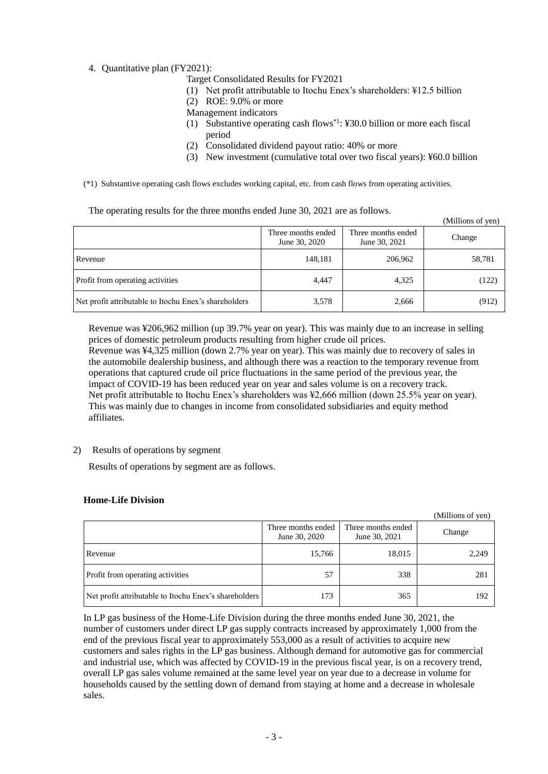### 4. Quantitative plan (FY2021):

Target Consolidated Results for FY2021

- (1) Net profit attributable to Itochu Enex's shareholders: ¥12.5 billion
- (2) ROE: 9.0% or more
- Management indicators
- (1) Substantive operating cash flows\*1: ¥30.0 billion or more each fiscal period
- (2) Consolidated dividend payout ratio: 40% or more
- (3) New investment (cumulative total over two fiscal years): ¥60.0 billion

 $(M)$ lions of  $(9)$ 

(\*1) Substantive operating cash flows excludes working capital, etc. from cash flows from operating activities.

The operating results for the three months ended June 30, 2021 are as follows.

|                                                       | Three months ended<br>June 30, 2020 | Three months ended<br>June 30, 2021 | $(1$ VIIIIIIOIIS UI $\sqrt{1}$ CII<br>Change |
|-------------------------------------------------------|-------------------------------------|-------------------------------------|----------------------------------------------|
| Revenue                                               | 148,181                             | 206,962                             | 58,781                                       |
| Profit from operating activities                      | 4,447                               | 4,325                               | (122)                                        |
| Net profit attributable to Itochu Enex's shareholders | 3,578                               | 2,666                               | (912)                                        |

Revenue was ¥206,962 million (up 39.7% year on year). This was mainly due to an increase in selling prices of domestic petroleum products resulting from higher crude oil prices.

Revenue was ¥4,325 million (down 2.7% year on year). This was mainly due to recovery of sales in the automobile dealership business, and although there was a reaction to the temporary revenue from operations that captured crude oil price fluctuations in the same period of the previous year, the impact of COVID-19 has been reduced year on year and sales volume is on a recovery track. Net profit attributable to Itochu Enex's shareholders was ¥2,666 million (down 25.5% year on year). This was mainly due to changes in income from consolidated subsidiaries and equity method affiliates.

### 2) Results of operations by segment

Results of operations by segment are as follows.

#### **Home-Life Division**

|                                                       |                                     |                                     | (Millions of yen) |
|-------------------------------------------------------|-------------------------------------|-------------------------------------|-------------------|
|                                                       | Three months ended<br>June 30, 2020 | Three months ended<br>June 30, 2021 | Change            |
| Revenue                                               | 15,766                              | 18,015                              | 2,249             |
| <b>Profit from operating activities</b>               | 57                                  | 338                                 | 281               |
| Net profit attributable to Itochu Enex's shareholders | 173                                 | 365                                 | 192               |

In LP gas business of the Home-Life Division during the three months ended June 30, 2021, the number of customers under direct LP gas supply contracts increased by approximately 1,000 from the end of the previous fiscal year to approximately 553,000 as a result of activities to acquire new customers and sales rights in the LP gas business. Although demand for automotive gas for commercial and industrial use, which was affected by COVID-19 in the previous fiscal year, is on a recovery trend, overall LP gas sales volume remained at the same level year on year due to a decrease in volume for households caused by the settling down of demand from staying at home and a decrease in wholesale sales.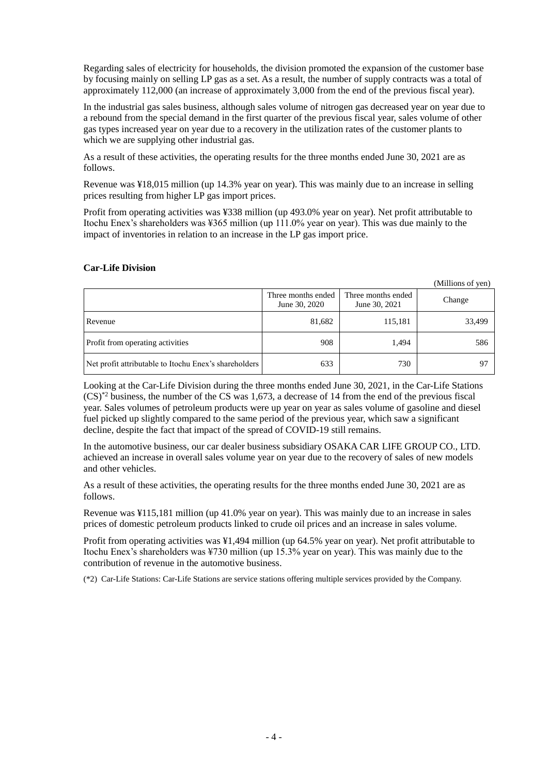Regarding sales of electricity for households, the division promoted the expansion of the customer base by focusing mainly on selling LP gas as a set. As a result, the number of supply contracts was a total of approximately 112,000 (an increase of approximately 3,000 from the end of the previous fiscal year).

In the industrial gas sales business, although sales volume of nitrogen gas decreased year on year due to a rebound from the special demand in the first quarter of the previous fiscal year, sales volume of other gas types increased year on year due to a recovery in the utilization rates of the customer plants to which we are supplying other industrial gas.

As a result of these activities, the operating results for the three months ended June 30, 2021 are as follows.

Revenue was ¥18,015 million (up 14.3% year on year). This was mainly due to an increase in selling prices resulting from higher LP gas import prices.

Profit from operating activities was ¥338 million (up 493.0% year on year). Net profit attributable to Itochu Enex's shareholders was ¥365 million (up 111.0% year on year). This was due mainly to the impact of inventories in relation to an increase in the LP gas import price.

#### **Car-Life Division**

(Millions of yen)

|                                                       | Three months ended<br>June 30, 2020 | Three months ended<br>June 30, 2021 | Change |
|-------------------------------------------------------|-------------------------------------|-------------------------------------|--------|
| Revenue                                               | 81,682                              | 115,181                             | 33,499 |
| Profit from operating activities                      | 908                                 | 1,494                               | 586    |
| Net profit attributable to Itochu Enex's shareholders | 633                                 | 730                                 | 97     |

Looking at the Car-Life Division during the three months ended June 30, 2021, in the Car-Life Stations (CS)\*2 business, the number of the CS was 1,673, a decrease of 14 from the end of the previous fiscal year. Sales volumes of petroleum products were up year on year as sales volume of gasoline and diesel fuel picked up slightly compared to the same period of the previous year, which saw a significant decline, despite the fact that impact of the spread of COVID-19 still remains.

In the automotive business, our car dealer business subsidiary OSAKA CAR LIFE GROUP CO., LTD. achieved an increase in overall sales volume year on year due to the recovery of sales of new models and other vehicles.

As a result of these activities, the operating results for the three months ended June 30, 2021 are as follows.

Revenue was ¥115,181 million (up 41.0% year on year). This was mainly due to an increase in sales prices of domestic petroleum products linked to crude oil prices and an increase in sales volume.

Profit from operating activities was ¥1,494 million (up 64.5% year on year). Net profit attributable to Itochu Enex's shareholders was ¥730 million (up 15.3% year on year). This was mainly due to the contribution of revenue in the automotive business.

(\*2) Car-Life Stations: Car-Life Stations are service stations offering multiple services provided by the Company.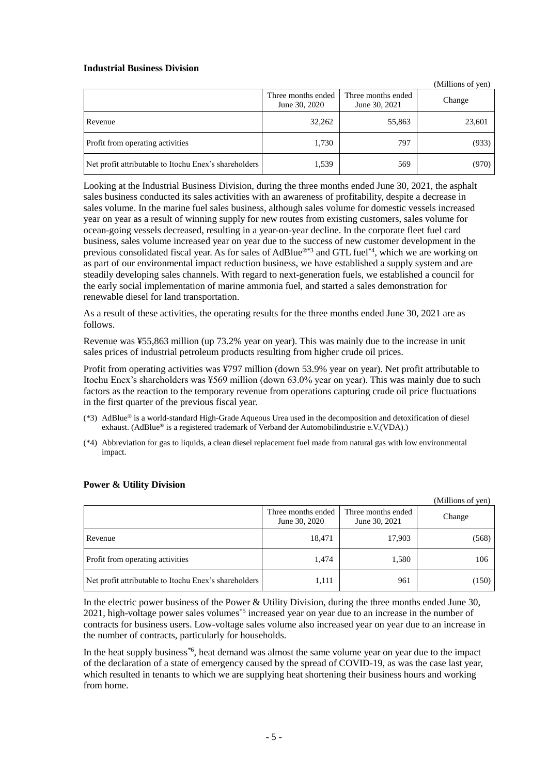#### **Industrial Business Division**

|                                                       |                                     |                                     | (Millions of yen) |
|-------------------------------------------------------|-------------------------------------|-------------------------------------|-------------------|
|                                                       | Three months ended<br>June 30, 2020 | Three months ended<br>June 30, 2021 | Change            |
| Revenue                                               | 32,262                              | 55,863                              | 23,601            |
| Profit from operating activities                      | 1,730                               | 797                                 | (933)             |
| Net profit attributable to Itochu Enex's shareholders | 1,539                               | 569                                 | (970)             |

Looking at the Industrial Business Division, during the three months ended June 30, 2021, the asphalt sales business conducted its sales activities with an awareness of profitability, despite a decrease in sales volume. In the marine fuel sales business, although sales volume for domestic vessels increased year on year as a result of winning supply for new routes from existing customers, sales volume for ocean-going vessels decreased, resulting in a year-on-year decline. In the corporate fleet fuel card business, sales volume increased year on year due to the success of new customer development in the previous consolidated fiscal year. As for sales of AdBlue®\*3 and GTL fuel\*4, which we are working on as part of our environmental impact reduction business, we have established a supply system and are steadily developing sales channels. With regard to next-generation fuels, we established a council for the early social implementation of marine ammonia fuel, and started a sales demonstration for renewable diesel for land transportation.

As a result of these activities, the operating results for the three months ended June 30, 2021 are as follows.

Revenue was ¥55,863 million (up 73.2% year on year). This was mainly due to the increase in unit sales prices of industrial petroleum products resulting from higher crude oil prices.

Profit from operating activities was ¥797 million (down 53.9% year on year). Net profit attributable to Itochu Enex's shareholders was ¥569 million (down 63.0% year on year). This was mainly due to such factors as the reaction to the temporary revenue from operations capturing crude oil price fluctuations in the first quarter of the previous fiscal year.

- (\*3) AdBlue® is a world-standard High-Grade Aqueous Urea used in the decomposition and detoxification of diesel exhaust. (AdBlue® is a registered trademark of Verband der Automobilindustrie e.V.(VDA).)
- (\*4) Abbreviation for gas to liquids, a clean diesel replacement fuel made from natural gas with low environmental impact.

|                                                       |                                     |                                     | (Millions of yen) |
|-------------------------------------------------------|-------------------------------------|-------------------------------------|-------------------|
|                                                       | Three months ended<br>June 30, 2020 | Three months ended<br>June 30, 2021 | Change            |
| Revenue                                               | 18,471                              | 17,903                              | (568)             |
| Profit from operating activities                      | 1,474                               | 1,580                               | 106               |
| Net profit attributable to Itochu Enex's shareholders | 1,111                               | 961                                 | (150)             |

#### **Power & Utility Division**

In the electric power business of the Power & Utility Division, during the three months ended June 30, 2021, high-voltage power sales volumes\*5 increased year on year due to an increase in the number of contracts for business users. Low-voltage sales volume also increased year on year due to an increase in the number of contracts, particularly for households.

In the heat supply business<sup>\*6</sup>, heat demand was almost the same volume year on year due to the impact of the declaration of a state of emergency caused by the spread of COVID-19, as was the case last year, which resulted in tenants to which we are supplying heat shortening their business hours and working from home.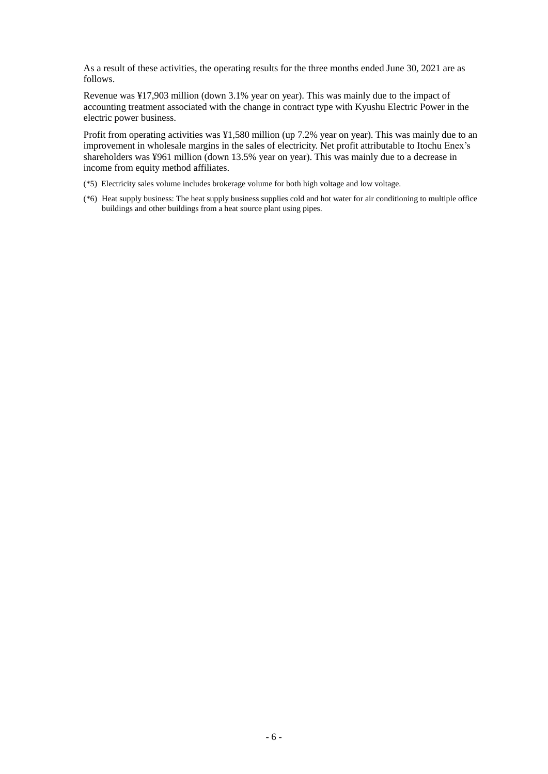As a result of these activities, the operating results for the three months ended June 30, 2021 are as follows.

Revenue was ¥17,903 million (down 3.1% year on year). This was mainly due to the impact of accounting treatment associated with the change in contract type with Kyushu Electric Power in the electric power business.

Profit from operating activities was ¥1,580 million (up 7.2% year on year). This was mainly due to an improvement in wholesale margins in the sales of electricity. Net profit attributable to Itochu Enex's shareholders was ¥961 million (down 13.5% year on year). This was mainly due to a decrease in income from equity method affiliates.

- (\*5) Electricity sales volume includes brokerage volume for both high voltage and low voltage.
- (\*6) Heat supply business: The heat supply business supplies cold and hot water for air conditioning to multiple office buildings and other buildings from a heat source plant using pipes.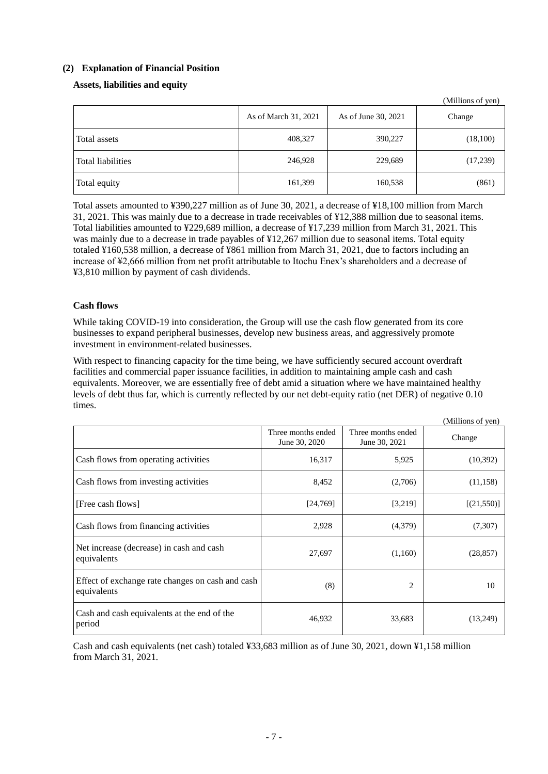# <span id="page-9-0"></span>**(2) Explanation of Financial Position**

# **Assets, liabilities and equity**

|                          | As of March 31, 2021 | As of June 30, 2021 | (TVITHIOITS OF YELL)<br>Change |
|--------------------------|----------------------|---------------------|--------------------------------|
| Total assets             | 408,327              | 390,227             | (18,100)                       |
| <b>Total liabilities</b> | 246,928              | 229,689             | (17,239)                       |
| Total equity             | 161,399              | 160,538             | (861)                          |

 $(ML11)$ 

Total assets amounted to ¥390,227 million as of June 30, 2021, a decrease of ¥18,100 million from March 31, 2021. This was mainly due to a decrease in trade receivables of ¥12,388 million due to seasonal items. Total liabilities amounted to ¥229,689 million, a decrease of ¥17,239 million from March 31, 2021. This was mainly due to a decrease in trade payables of ¥12,267 million due to seasonal items. Total equity totaled ¥160,538 million, a decrease of ¥861 million from March 31, 2021, due to factors including an increase of ¥2,666 million from net profit attributable to Itochu Enex's shareholders and a decrease of ¥3,810 million by payment of cash dividends.

# **Cash flows**

While taking COVID-19 into consideration, the Group will use the cash flow generated from its core businesses to expand peripheral businesses, develop new business areas, and aggressively promote investment in environment-related businesses.

With respect to financing capacity for the time being, we have sufficiently secured account overdraft facilities and commercial paper issuance facilities, in addition to maintaining ample cash and cash equivalents. Moreover, we are essentially free of debt amid a situation where we have maintained healthy levels of debt thus far, which is currently reflected by our net debt-equity ratio (net DER) of negative 0.10 times.

|                                                                 |                                     |                                     | (Millions of yen) |
|-----------------------------------------------------------------|-------------------------------------|-------------------------------------|-------------------|
|                                                                 | Three months ended<br>June 30, 2020 | Three months ended<br>June 30, 2021 | Change            |
| Cash flows from operating activities                            | 16,317                              | 5,925                               | (10,392)          |
| Cash flows from investing activities                            | 8,452                               | (2,706)                             | (11, 158)         |
| [Free cash flows]                                               | [24,769]                            | [3,219]                             | [(21,550)]        |
| Cash flows from financing activities                            | 2,928                               | (4,379)                             | (7,307)           |
| Net increase (decrease) in cash and cash<br>equivalents         | 27,697                              | (1,160)                             | (28, 857)         |
| Effect of exchange rate changes on cash and cash<br>equivalents | (8)                                 | 2                                   | 10                |
| Cash and cash equivalents at the end of the<br>period           | 46,932                              | 33,683                              | (13,249)          |

Cash and cash equivalents (net cash) totaled ¥33,683 million as of June 30, 2021, down ¥1,158 million from March 31, 2021.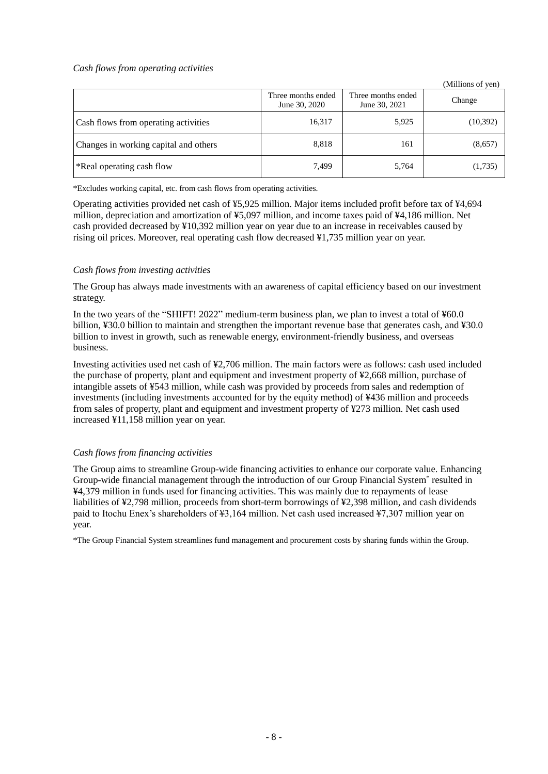#### *Cash flows from operating activities*

|                                       |                                     |                                     | (Millions of yen) |
|---------------------------------------|-------------------------------------|-------------------------------------|-------------------|
|                                       | Three months ended<br>June 30, 2020 | Three months ended<br>June 30, 2021 | Change            |
| Cash flows from operating activities  | 16,317                              | 5,925                               | (10, 392)         |
| Changes in working capital and others | 8,818                               | 161                                 | (8,657)           |
| *Real operating cash flow             | 7,499                               | 5,764                               | (1,735)           |

\*Excludes working capital, etc. from cash flows from operating activities.

Operating activities provided net cash of ¥5,925 million. Major items included profit before tax of ¥4,694 million, depreciation and amortization of ¥5,097 million, and income taxes paid of ¥4,186 million. Net cash provided decreased by ¥10,392 million year on year due to an increase in receivables caused by rising oil prices. Moreover, real operating cash flow decreased ¥1,735 million year on year.

### *Cash flows from investing activities*

The Group has always made investments with an awareness of capital efficiency based on our investment strategy.

In the two years of the "SHIFT! 2022" medium-term business plan, we plan to invest a total of ¥60.0 billion, ¥30.0 billion to maintain and strengthen the important revenue base that generates cash, and ¥30.0 billion to invest in growth, such as renewable energy, environment-friendly business, and overseas business.

Investing activities used net cash of ¥2,706 million. The main factors were as follows: cash used included the purchase of property, plant and equipment and investment property of ¥2,668 million, purchase of intangible assets of ¥543 million, while cash was provided by proceeds from sales and redemption of investments (including investments accounted for by the equity method) of ¥436 million and proceeds from sales of property, plant and equipment and investment property of ¥273 million. Net cash used increased ¥11,158 million year on year.

### *Cash flows from financing activities*

The Group aims to streamline Group-wide financing activities to enhance our corporate value. Enhancing Group-wide financial management through the introduction of our Group Financial System\* resulted in ¥4,379 million in funds used for financing activities. This was mainly due to repayments of lease liabilities of ¥2,798 million, proceeds from short-term borrowings of ¥2,398 million, and cash dividends paid to Itochu Enex's shareholders of ¥3,164 million. Net cash used increased ¥7,307 million year on year.

\*The Group Financial System streamlines fund management and procurement costs by sharing funds within the Group.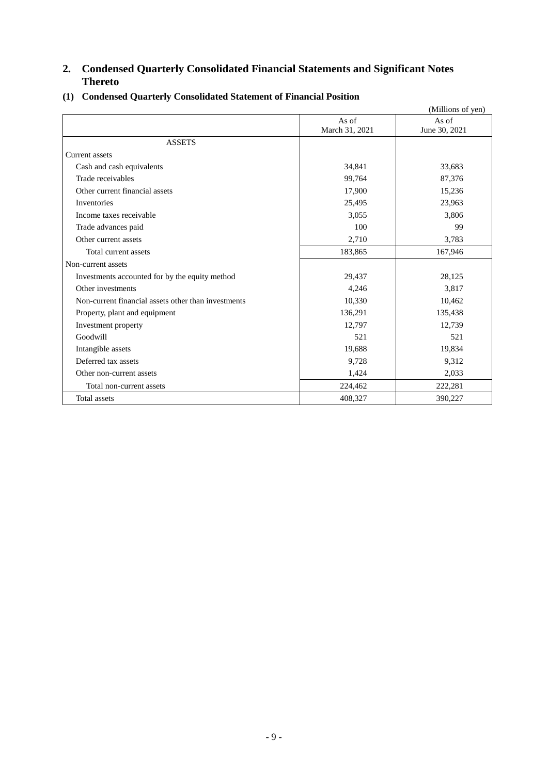# <span id="page-11-0"></span>**2. Condensed Quarterly Consolidated Financial Statements and Significant Notes Thereto**

|                                                     |                         | (Millions of yen)      |
|-----------------------------------------------------|-------------------------|------------------------|
|                                                     | As of<br>March 31, 2021 | As of<br>June 30, 2021 |
| <b>ASSETS</b>                                       |                         |                        |
| Current assets                                      |                         |                        |
| Cash and cash equivalents                           | 34,841                  | 33,683                 |
| Trade receivables                                   | 99,764                  | 87,376                 |
| Other current financial assets                      | 17,900                  | 15,236                 |
| Inventories                                         | 25,495                  | 23,963                 |
| Income taxes receivable                             | 3,055                   | 3,806                  |
| Trade advances paid                                 | 100                     | 99                     |
| Other current assets                                | 2,710                   | 3,783                  |
| Total current assets                                | 183,865                 | 167,946                |
| Non-current assets                                  |                         |                        |
| Investments accounted for by the equity method      | 29,437                  | 28,125                 |
| Other investments                                   | 4,246                   | 3,817                  |
| Non-current financial assets other than investments | 10,330                  | 10,462                 |
| Property, plant and equipment                       | 136,291                 | 135,438                |
| Investment property                                 | 12,797                  | 12,739                 |
| Goodwill                                            | 521                     | 521                    |
| Intangible assets                                   | 19,688                  | 19,834                 |
| Deferred tax assets                                 | 9,728                   | 9,312                  |
| Other non-current assets                            | 1,424                   | 2,033                  |
| Total non-current assets                            | 224,462                 | 222,281                |
| Total assets                                        | 408,327                 | 390,227                |

# <span id="page-11-1"></span>**(1) Condensed Quarterly Consolidated Statement of Financial Position**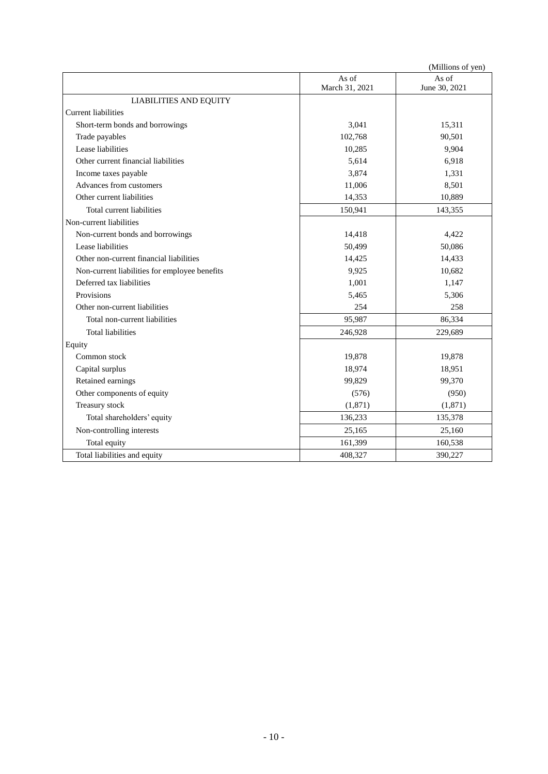|                                               |                | (Millions of yen) |
|-----------------------------------------------|----------------|-------------------|
|                                               | As of          | As of             |
|                                               | March 31, 2021 | June 30, 2021     |
| <b>LIABILITIES AND EQUITY</b>                 |                |                   |
| <b>Current liabilities</b>                    |                |                   |
| Short-term bonds and borrowings               | 3,041          | 15,311            |
| Trade payables                                | 102,768        | 90,501            |
| Lease liabilities                             | 10,285         | 9,904             |
| Other current financial liabilities           | 5,614          | 6,918             |
| Income taxes payable                          | 3,874          | 1,331             |
| Advances from customers                       | 11,006         | 8,501             |
| Other current liabilities                     | 14,353         | 10,889            |
| Total current liabilities                     | 150,941        | 143,355           |
| Non-current liabilities                       |                |                   |
| Non-current bonds and borrowings              | 14,418         | 4,422             |
| Lease liabilities                             | 50,499         | 50,086            |
| Other non-current financial liabilities       | 14,425         | 14,433            |
| Non-current liabilities for employee benefits | 9,925          | 10,682            |
| Deferred tax liabilities                      | 1,001          | 1,147             |
| Provisions                                    | 5,465          | 5,306             |
| Other non-current liabilities                 | 254            | 258               |
| Total non-current liabilities                 | 95,987         | 86,334            |
| <b>Total liabilities</b>                      | 246,928        | 229,689           |
| Equity                                        |                |                   |
| Common stock                                  | 19,878         | 19,878            |
| Capital surplus                               | 18,974         | 18,951            |
| Retained earnings                             | 99,829         | 99,370            |
| Other components of equity                    | (576)          | (950)             |
| Treasury stock                                | (1, 871)       | (1,871)           |
| Total shareholders' equity                    | 136,233        | 135,378           |
| Non-controlling interests                     | 25,165         | 25,160            |
| Total equity                                  | 161,399        | 160,538           |
| Total liabilities and equity                  | 408,327        | 390,227           |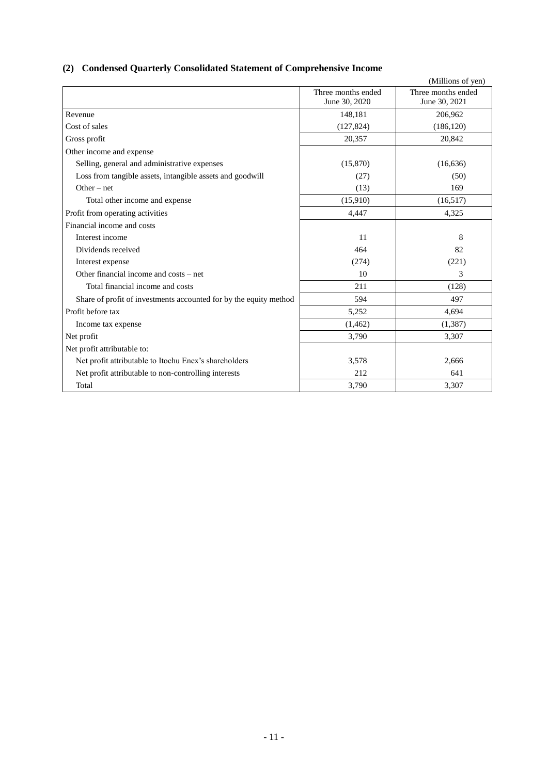# <span id="page-13-0"></span>**(2) Condensed Quarterly Consolidated Statement of Comprehensive Income**

|                                                                   |                    | (Millions of yen)  |
|-------------------------------------------------------------------|--------------------|--------------------|
|                                                                   | Three months ended | Three months ended |
|                                                                   | June 30, 2020      | June 30, 2021      |
| Revenue                                                           | 148,181            | 206,962            |
| Cost of sales                                                     | (127, 824)         | (186, 120)         |
| Gross profit                                                      | 20,357             | 20,842             |
| Other income and expense                                          |                    |                    |
| Selling, general and administrative expenses                      | (15,870)           | (16, 636)          |
| Loss from tangible assets, intangible assets and goodwill         | (27)               | (50)               |
| $Other - net$                                                     | (13)               | 169                |
| Total other income and expense                                    | (15,910)           | (16,517)           |
| Profit from operating activities                                  | 4,447              | 4,325              |
| Financial income and costs                                        |                    |                    |
| Interest income                                                   | 11                 | 8                  |
| Dividends received                                                | 464                | 82                 |
| Interest expense                                                  | (274)              | (221)              |
| Other financial income and costs – net                            | 10                 | 3                  |
| Total financial income and costs                                  | 211                | (128)              |
| Share of profit of investments accounted for by the equity method | 594                | 497                |
| Profit before tax                                                 | 5,252              | 4,694              |
| Income tax expense                                                | (1, 462)           | (1,387)            |
| Net profit                                                        | 3,790              | 3,307              |
| Net profit attributable to:                                       |                    |                    |
| Net profit attributable to Itochu Enex's shareholders             | 3,578              | 2,666              |
| Net profit attributable to non-controlling interests              | 212                | 641                |
| Total                                                             | 3,790              | 3,307              |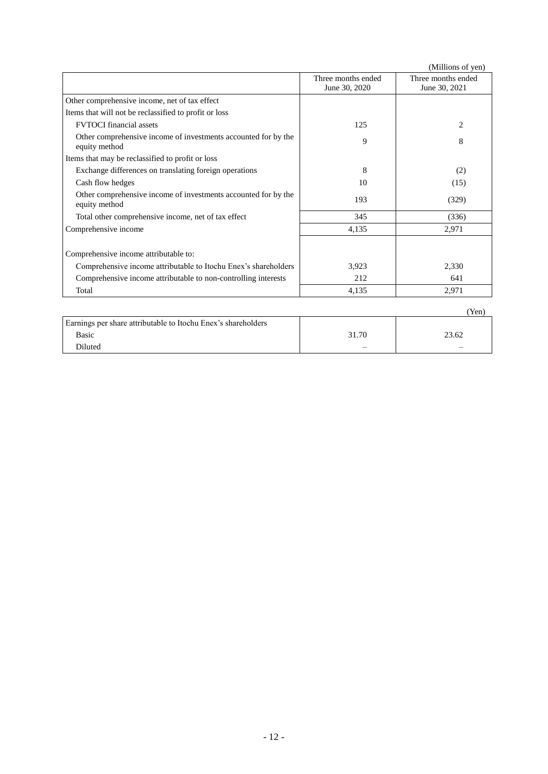|                                                                                 |                                     | (Millions of yen)                   |
|---------------------------------------------------------------------------------|-------------------------------------|-------------------------------------|
|                                                                                 | Three months ended<br>June 30, 2020 | Three months ended<br>June 30, 2021 |
| Other comprehensive income, net of tax effect                                   |                                     |                                     |
| Items that will not be reclassified to profit or loss                           |                                     |                                     |
| <b>FVTOCI</b> financial assets                                                  | 125                                 | 2                                   |
| Other comprehensive income of investments accounted for by the<br>equity method | 9                                   | 8                                   |
| Items that may be reclassified to profit or loss                                |                                     |                                     |
| Exchange differences on translating foreign operations                          | 8                                   | (2)                                 |
| Cash flow hedges                                                                | 10                                  | (15)                                |
| Other comprehensive income of investments accounted for by the<br>equity method | 193                                 | (329)                               |
| Total other comprehensive income, net of tax effect                             | 345                                 | (336)                               |
| Comprehensive income                                                            | 4,135                               | 2,971                               |
| Comprehensive income attributable to:                                           |                                     |                                     |
| Comprehensive income attributable to Itochu Enex's shareholders                 | 3,923                               | 2,330                               |
| Comprehensive income attributable to non-controlling interests                  | 212                                 | 641                                 |
| Total                                                                           | 4,135                               | 2,971                               |

|                                                               |       | 'Yen` |
|---------------------------------------------------------------|-------|-------|
| Earnings per share attributable to Itochu Enex's shareholders |       |       |
| Basic                                                         | 31.70 | 23.62 |
| Diluted                                                       | –     | –     |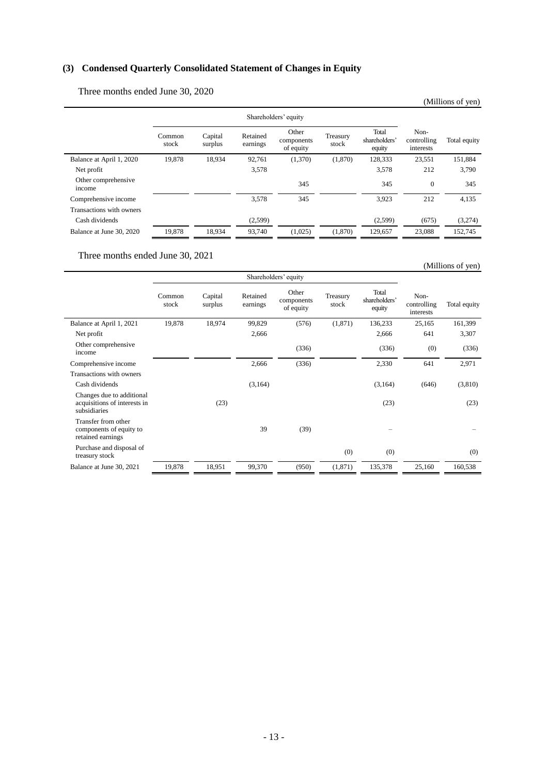# <span id="page-15-0"></span>**(3) Condensed Quarterly Consolidated Statement of Changes in Equity**

Three months ended June 30, 2020

|                               |                 |                    |                      |                                  |                   |                                  |                                  | (Millions of yen) |
|-------------------------------|-----------------|--------------------|----------------------|----------------------------------|-------------------|----------------------------------|----------------------------------|-------------------|
|                               |                 |                    |                      | Shareholders' equity             |                   |                                  |                                  |                   |
|                               | Common<br>stock | Capital<br>surplus | Retained<br>earnings | Other<br>components<br>of equity | Treasury<br>stock | Total<br>shareholders'<br>equity | Non-<br>controlling<br>interests | Total equity      |
| Balance at April 1, 2020      | 19,878          | 18,934             | 92,761               | (1,370)                          | (1,870)           | 128,333                          | 23,551                           | 151,884           |
| Net profit                    |                 |                    | 3,578                |                                  |                   | 3,578                            | 212                              | 3,790             |
| Other comprehensive<br>income |                 |                    |                      | 345                              |                   | 345                              | $\mathbf{0}$                     | 345               |
| Comprehensive income          |                 |                    | 3,578                | 345                              |                   | 3,923                            | 212                              | 4,135             |
| Transactions with owners      |                 |                    |                      |                                  |                   |                                  |                                  |                   |
| Cash dividends                |                 |                    | (2,599)              |                                  |                   | (2,599)                          | (675)                            | (3,274)           |
| Balance at June 30, 2020      | 19,878          | 18,934             | 93,740               | (1,025)                          | (1,870)           | 129,657                          | 23,088                           | 152,745           |
|                               |                 |                    |                      |                                  |                   |                                  |                                  |                   |

Three months ended June 30, 2021

|                                                                           |                      |                    |                      |                                  |                   |                                  |                                  | (Millions of yen) |
|---------------------------------------------------------------------------|----------------------|--------------------|----------------------|----------------------------------|-------------------|----------------------------------|----------------------------------|-------------------|
|                                                                           | Shareholders' equity |                    |                      |                                  |                   |                                  |                                  |                   |
|                                                                           | Common<br>stock      | Capital<br>surplus | Retained<br>earnings | Other<br>components<br>of equity | Treasury<br>stock | Total<br>shareholders'<br>equity | Non-<br>controlling<br>interests | Total equity      |
| Balance at April 1, 2021                                                  | 19,878               | 18,974             | 99,829               | (576)                            | (1,871)           | 136,233                          | 25,165                           | 161,399           |
| Net profit                                                                |                      |                    | 2,666                |                                  |                   | 2,666                            | 641                              | 3,307             |
| Other comprehensive<br>income                                             |                      |                    |                      | (336)                            |                   | (336)                            | (0)                              | (336)             |
| Comprehensive income                                                      |                      |                    | 2,666                | (336)                            |                   | 2,330                            | 641                              | 2,971             |
| Transactions with owners                                                  |                      |                    |                      |                                  |                   |                                  |                                  |                   |
| Cash dividends                                                            |                      |                    | (3,164)              |                                  |                   | (3,164)                          | (646)                            | (3,810)           |
| Changes due to additional<br>acquisitions of interests in<br>subsidiaries |                      | (23)               |                      |                                  |                   | (23)                             |                                  | (23)              |
| Transfer from other<br>components of equity to<br>retained earnings       |                      |                    | 39                   | (39)                             |                   |                                  |                                  |                   |
| Purchase and disposal of<br>treasury stock                                |                      |                    |                      |                                  | (0)               | (0)                              |                                  | (0)               |
| Balance at June 30, 2021                                                  | 19,878               | 18,951             | 99,370               | (950)                            | (1,871)           | 135,378                          | 25,160                           | 160,538           |
|                                                                           |                      |                    |                      |                                  |                   |                                  |                                  |                   |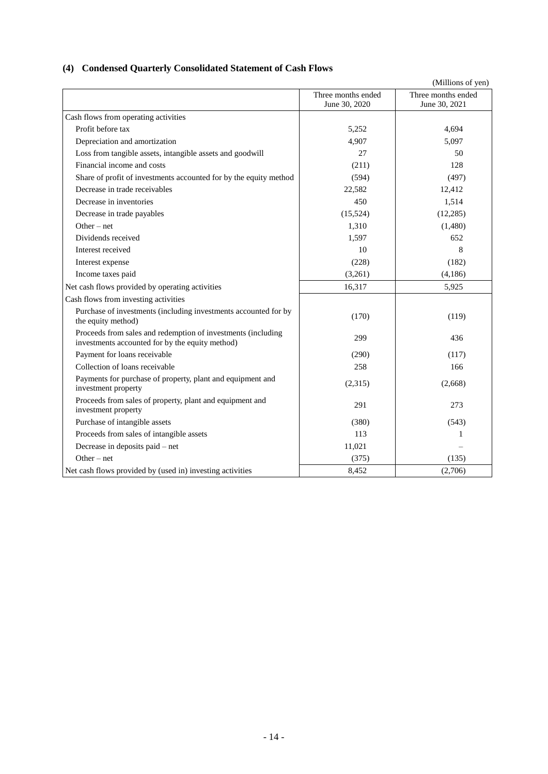# <span id="page-16-0"></span>**(4) Condensed Quarterly Consolidated Statement of Cash Flows**

|                                                                                                                 |                                     | (Millions of yen)                   |
|-----------------------------------------------------------------------------------------------------------------|-------------------------------------|-------------------------------------|
|                                                                                                                 | Three months ended<br>June 30, 2020 | Three months ended<br>June 30, 2021 |
| Cash flows from operating activities                                                                            |                                     |                                     |
| Profit before tax                                                                                               | 5,252                               | 4,694                               |
| Depreciation and amortization                                                                                   | 4,907                               | 5,097                               |
| Loss from tangible assets, intangible assets and goodwill                                                       | 27                                  | 50                                  |
| Financial income and costs                                                                                      | (211)                               | 128                                 |
| Share of profit of investments accounted for by the equity method                                               | (594)                               | (497)                               |
| Decrease in trade receivables                                                                                   | 22,582                              | 12,412                              |
| Decrease in inventories                                                                                         | 450                                 | 1,514                               |
| Decrease in trade payables                                                                                      | (15,524)                            | (12, 285)                           |
| Other $-$ net                                                                                                   | 1,310                               | (1,480)                             |
| Dividends received                                                                                              | 1.597                               | 652                                 |
| Interest received                                                                                               | 10                                  | 8                                   |
| Interest expense                                                                                                | (228)                               | (182)                               |
| Income taxes paid                                                                                               | (3,261)                             | (4,186)                             |
| Net cash flows provided by operating activities                                                                 | 16,317                              | 5,925                               |
| Cash flows from investing activities                                                                            |                                     |                                     |
| Purchase of investments (including investments accounted for by<br>the equity method)                           | (170)                               | (119)                               |
| Proceeds from sales and redemption of investments (including<br>investments accounted for by the equity method) | 299                                 | 436                                 |
| Payment for loans receivable                                                                                    | (290)                               | (117)                               |
| Collection of loans receivable                                                                                  | 258                                 | 166                                 |
| Payments for purchase of property, plant and equipment and<br>investment property                               | (2,315)                             | (2,668)                             |
| Proceeds from sales of property, plant and equipment and<br>investment property                                 | 291                                 | 273                                 |
| Purchase of intangible assets                                                                                   | (380)                               | (543)                               |
| Proceeds from sales of intangible assets                                                                        | 113                                 | 1                                   |
| Decrease in deposits paid - net                                                                                 | 11,021                              |                                     |
| $Other-net$                                                                                                     | (375)                               | (135)                               |
| Net cash flows provided by (used in) investing activities                                                       | 8,452                               | (2,706)                             |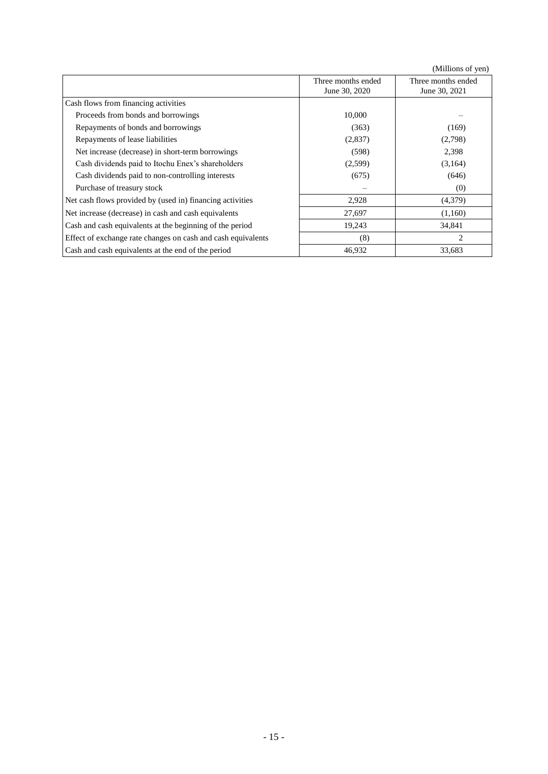(Millions of yen)

|                                                              | Three months ended<br>June 30, 2020 | Three months ended<br>June 30, 2021 |
|--------------------------------------------------------------|-------------------------------------|-------------------------------------|
| Cash flows from financing activities                         |                                     |                                     |
| Proceeds from bonds and borrowings                           | 10,000                              |                                     |
| Repayments of bonds and borrowings                           | (363)                               | (169)                               |
| Repayments of lease liabilities                              | (2,837)                             | (2,798)                             |
| Net increase (decrease) in short-term borrowings             | (598)                               | 2,398                               |
| Cash dividends paid to Itochu Enex's shareholders            | (2,599)                             | (3,164)                             |
| Cash dividends paid to non-controlling interests             | (675)                               | (646)                               |
| Purchase of treasury stock                                   |                                     | (0)                                 |
| Net cash flows provided by (used in) financing activities    | 2,928                               | (4,379)                             |
| Net increase (decrease) in cash and cash equivalents         | 27,697                              | (1,160)                             |
| Cash and cash equivalents at the beginning of the period     | 19,243                              | 34,841                              |
| Effect of exchange rate changes on cash and cash equivalents | (8)                                 | $\overline{c}$                      |
| Cash and cash equivalents at the end of the period           | 46,932                              | 33,683                              |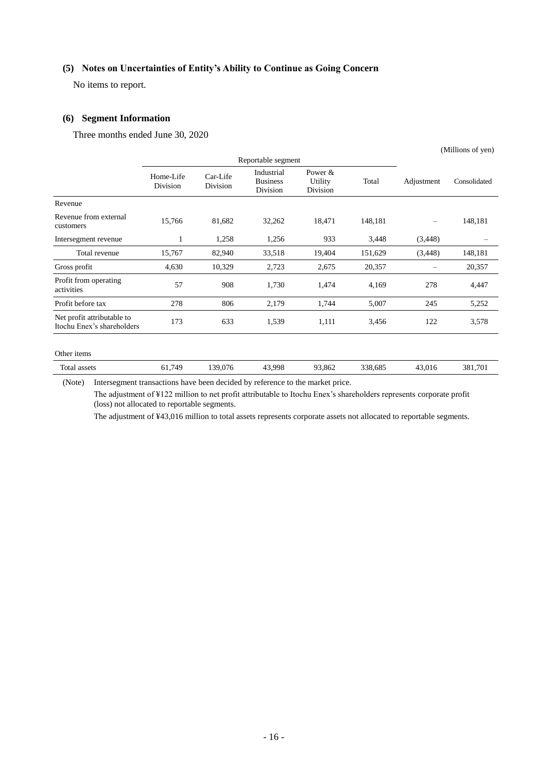### <span id="page-18-0"></span>**(5) Notes on Uncertainties of Entity's Ability to Continue as Going Concern**

No items to report.

#### <span id="page-18-1"></span>**(6) Segment Information**

Three months ended June 30, 2020

|                                                          |                       |                      |                                           |                                   |         | (101111101150111011) |              |  |
|----------------------------------------------------------|-----------------------|----------------------|-------------------------------------------|-----------------------------------|---------|----------------------|--------------|--|
|                                                          | Reportable segment    |                      |                                           |                                   |         |                      |              |  |
|                                                          | Home-Life<br>Division | Car-Life<br>Division | Industrial<br><b>Business</b><br>Division | Power $\&$<br>Utility<br>Division | Total   | Adjustment           | Consolidated |  |
| Revenue                                                  |                       |                      |                                           |                                   |         |                      |              |  |
| Revenue from external<br>customers                       | 15,766                | 81,682               | 32,262                                    | 18,471                            | 148,181 |                      | 148,181      |  |
| Intersegment revenue                                     | 1                     | 1,258                | 1,256                                     | 933                               | 3,448   | (3, 448)             |              |  |
| Total revenue                                            | 15,767                | 82,940               | 33,518                                    | 19,404                            | 151,629 | (3, 448)             | 148,181      |  |
| Gross profit                                             | 4,630                 | 10,329               | 2,723                                     | 2,675                             | 20,357  |                      | 20,357       |  |
| Profit from operating<br>activities                      | 57                    | 908                  | 1,730                                     | 1,474                             | 4,169   | 278                  | 4,447        |  |
| Profit before tax                                        | 278                   | 806                  | 2,179                                     | 1,744                             | 5,007   | 245                  | 5,252        |  |
| Net profit attributable to<br>Itochu Enex's shareholders | 173                   | 633                  | 1,539                                     | 1,111                             | 3,456   | 122                  | 3,578        |  |
|                                                          |                       |                      |                                           |                                   |         |                      |              |  |

 $(M<sub>ii</sub>)$  (Millions of you)

#### Other items

Total assets 61,749 139,076 43,998 93,862 338,685 43,016 381,701

(Note) Intersegment transactions have been decided by reference to the market price.

The adjustment of ¥122 million to net profit attributable to Itochu Enex's shareholders represents corporate profit (loss) not allocated to reportable segments.

The adjustment of ¥43,016 million to total assets represents corporate assets not allocated to reportable segments.